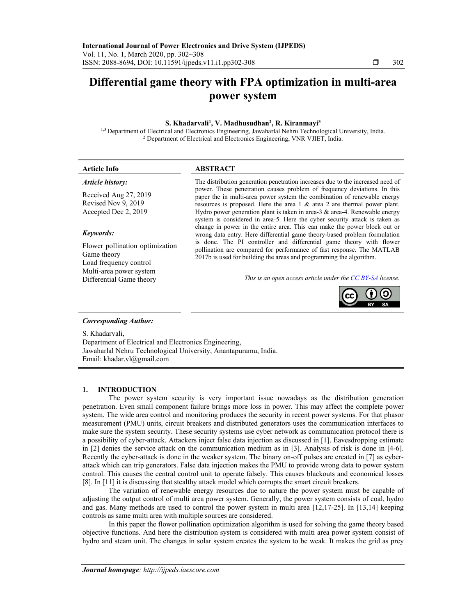# **Differential game theory with FPA optimization in multi-area power system**

## S. Khadarvali<sup>1</sup>, V. Madhusudhan<sup>2</sup>, R. Kiranmayi<sup>3</sup>

<sup>1,3</sup> Department of Electrical and Electronics Engineering, Jawaharlal Nehru Technological University, India. <sup>2</sup> Department of Electrical and Electronics Engineering, VNR VJIET, India.

| <b>Article Info</b>                                                      | <b>ABSTRACT</b>                                                                                                                                                                                                                                                                                                                                                                                       |
|--------------------------------------------------------------------------|-------------------------------------------------------------------------------------------------------------------------------------------------------------------------------------------------------------------------------------------------------------------------------------------------------------------------------------------------------------------------------------------------------|
| Article history:                                                         | The distribution generation penetration increases due to the increased need of                                                                                                                                                                                                                                                                                                                        |
| Received Aug 27, 2019<br>Revised Nov 9, 2019<br>Accepted Dec 2, 2019     | power. These penetration causes problem of frequency deviations. In this<br>paper the in multi-area power system the combination of renewable energy<br>resources is proposed. Here the area $1 \&$ area $2$ are thermal power plant.<br>Hydro power generation plant is taken in area- $3 \&$ area-4. Renewable energy<br>system is considered in area-5. Here the cyber security attack is taken as |
| Keywords:                                                                | change in power in the entire area. This can make the power block out or<br>wrong data entry. Here differential game theory-based problem formulation                                                                                                                                                                                                                                                 |
| Flower pollination optimization<br>Game theory<br>Load frequency control | is done. The PI controller and differential game theory with flower<br>pollination are compared for performance of fast response. The MATLAB<br>2017b is used for building the areas and programming the algorithm.                                                                                                                                                                                   |
| Multi-area power system                                                  | $\cdots$ $\cdots$ $\cdots$ $\cdots$ $\cdots$                                                                                                                                                                                                                                                                                                                                                          |

Differential Game theory *This is an open access article under the CC BY-SA license.* 



#### *Corresponding Author:*

S. Khadarvali, Department of Electrical and Electronics Engineering, Jawaharlal Nehru Technological University, Anantapuramu, India. Email: khadar.vl@gmail.com

#### **1. INTRODUCTION**

The power system security is very important issue nowadays as the distribution generation penetration. Even small component failure brings more loss in power. This may affect the complete power system. The wide area control and monitoring produces the security in recent power systems. For that phasor measurement (PMU) units, circuit breakers and distributed generators uses the communication interfaces to make sure the system security. These security systems use cyber network as communication protocol there is a possibility of cyber-attack. Attackers inject false data injection as discussed in [1]. Eavesdropping estimate in [2] denies the service attack on the communication medium as in [3]. Analysis of risk is done in [4-6]. Recently the cyber-attack is done in the weaker system. The binary on-off pulses are created in [7] as cyberattack which can trip generators. False data injection makes the PMU to provide wrong data to power system control. This causes the central control unit to operate falsely. This causes blackouts and economical losses [8]. In [11] it is discussing that stealthy attack model which corrupts the smart circuit breakers.

The variation of renewable energy resources due to nature the power system must be capable of adjusting the output control of multi area power system. Generally, the power system consists of coal, hydro and gas. Many methods are used to control the power system in multi area [12,17-25]. In [13,14] keeping controls as same multi area with multiple sources are considered.

In this paper the flower pollination optimization algorithm is used for solving the game theory based objective functions. And here the distribution system is considered with multi area power system consist of hydro and steam unit. The changes in solar system creates the system to be weak. It makes the grid as prey

ֺ֝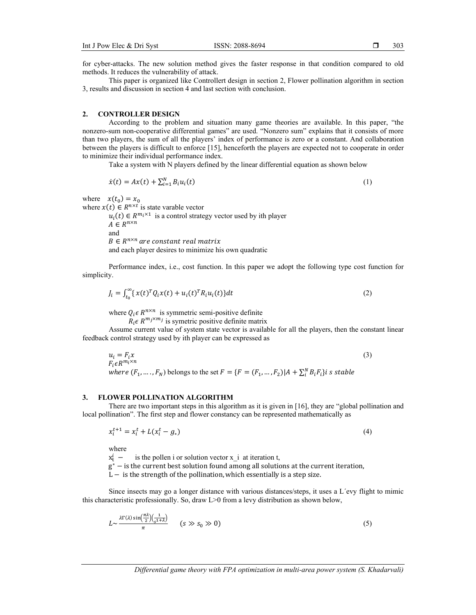for cyber-attacks. The new solution method gives the faster response in that condition compared to old methods. It reduces the vulnerability of attack.

This paper is organized like Controllert design in section 2, Flower pollination algorithm in section 3, results and discussion in section 4 and last section with conclusion.

## **2. CONTROLLER DESIGN**

According to the problem and situation many game theories are available. In this paper, "the nonzero-sum non-cooperative differential games" are used. "Nonzero sum" explains that it consists of more than two players, the sum of all the players' index of performance is zero or a constant. And collaboration between the players is difficult to enforce [15], henceforth the players are expected not to cooperate in order to minimize their individual performance index.

Take a system with N players defined by the linear differential equation as shown below

$$
\dot{x}(t) = Ax(t) + \sum_{i=1}^{N} B_i u_i(t)
$$
\n(1)

where  $x(t_0) = x_0$ 

where  $x(t) \in R^{n \times t}$  is state varable vector  $u_i(t) \in R^{m_i \times 1}$  is a control strategy vector used by ith player

 $A \in R^{n \times n}$ and  $B \in R^{n \times n}$  are constant real matrix and each player desires to minimize his own quadratic

Performance index, i.e., cost function. In this paper we adopt the following type cost function for simplicity.

$$
J_i = \int_{t_0}^{\infty} \{ x(t)^T Q_i x(t) + u_i(t)^T R_i u_i(t) \} dt
$$
 (2)

where  $Q_i \in R^{n \times n}$  is symmetric semi-positive definite

 $R_i \in \mathbb{R}^{m_j \times m_j}$  is symetric positive definite matrix

Assume current value of system state vector is available for all the players, then the constant linear feedback control strategy used by ith player can be expressed as

 $u_i = F_i x$  (3)  $F_i \epsilon R^{m_i \times n}$ where  $(F_1, ..., F_N)$  belongs to the set  $F = \{F = (F_1, ..., F_2) | A + \sum_{i=1}^{N} B_i F_i\}$ i s stable

#### **3. FLOWER POLLINATION ALGORITHM**

There are two important steps in this algorithm as it is given in [16], they are "global pollination and local pollination". The first step and flower constancy can be represented mathematically as

$$
x_i^{t+1} = x_i^t + L(x_i^t - g_*)
$$
\n(4)

where

 $x_{t}^{i}$  – is the pollen i or solution vector  $x$  i at iteration t,

 $g^*$  – is the current best solution found among all solutions at the current iteration,

 $L -$  is the strength of the pollination, which essentially is a step size.

Since insects may go a longer distance with various distances/steps, it uses a L´evy flight to mimic this characteristic professionally. So, draw L>0 from a levy distribution as shown below,

$$
L \sim \frac{\lambda \Gamma(\lambda) \sin\left(\frac{\pi \lambda}{2}\right) \left(\frac{1}{s^{1+\lambda}}\right)}{\pi} \qquad (s \gg s_0 \gg 0)
$$
 (5)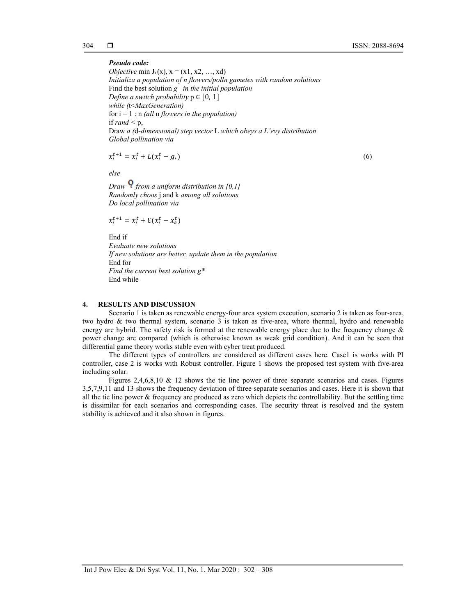*Pseudo code: Objective* min  $J_i(x)$ ,  $x = (x1, x2, \ldots, xd)$ *Initializa a population of n flowers/polln gametes with random solutions*  Find the best solution *g*\_ *in the initial population Define a switch probability*  $p \in [0, 1]$ *while (*t<*MaxGeneration)*  for  $i = 1$ : n *(all* n *flowers in the population)* if *rand*  $\leq$  p, Draw *a (*d-*dimensional) step vector* L *which obeys a L'evy distribution Global pollination via* 

$$
x_i^{t+1} = x_i^t + L(x_i^t - g_*)
$$
\n(6)

*else* 

*Draw from a uniform distribution in [0,1] Randomly choos* j and k *among all solutions Do local pollination via* 

$$
x_i^{t+1} = x_i^t + \mathcal{E}(x_i^t - x_k^t)
$$

End if *Evaluate new solutions If new solutions are better, update them in the population*  End for *Find the current best solution g\**  End while

## **4. RESULTS AND DISCUSSION**

Scenario 1 is taken as renewable energy-four area system execution, scenario 2 is taken as four-area, two hydro & two thermal system, scenario 3 is taken as five-area, where thermal, hydro and renewable energy are hybrid. The safety risk is formed at the renewable energy place due to the frequency change  $\&$ power change are compared (which is otherwise known as weak grid condition). And it can be seen that differential game theory works stable even with cyber treat produced.

The different types of controllers are considered as different cases here. Case1 is works with PI controller, case 2 is works with Robust controller. Figure 1 shows the proposed test system with five-area including solar.

Figures 2,4,6,8,10 & 12 shows the tie line power of three separate scenarios and cases. Figures 3,5,7,9,11 and 13 shows the frequency deviation of three separate scenarios and cases. Here it is shown that all the tie line power & frequency are produced as zero which depicts the controllability. But the settling time is dissimilar for each scenarios and corresponding cases. The security threat is resolved and the system stability is achieved and it also shown in figures.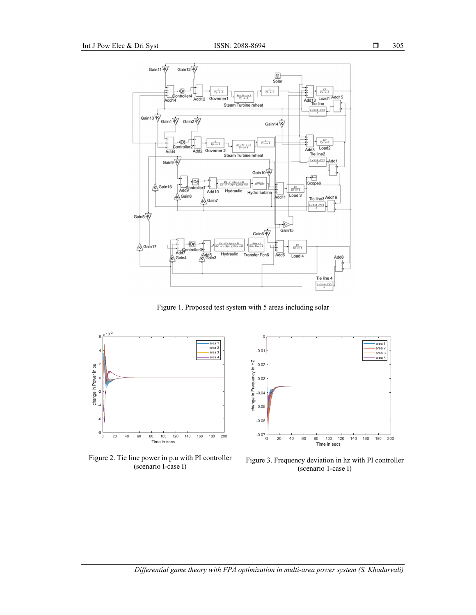

Figure 1. Proposed test system with 5 areas including solar



Figure 2. Tie line power in p.u with PI controller



ne power in p.u with PI controller Figure 3. Frequency deviation in hz with PI controller (scenario I-case I) (scenario 1-case I)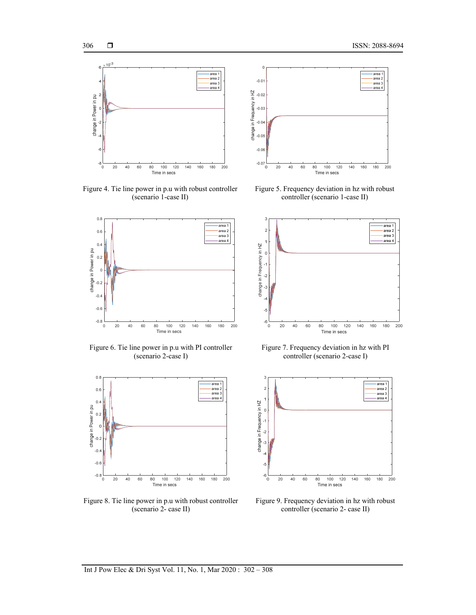

Figure 4. Tie line power in p.u with robust controller (scenario 1-case II)



Figure 6. Tie line power in p.u with PI controller (scenario 2-case I)



Figure 8. Tie line power in p.u with robust controller (scenario 2- case II)



Figure 5. Frequency deviation in hz with robust controller (scenario 1-case II)



Figure 7. Frequency deviation in hz with PI controller (scenario 2-case I)



Figure 9. Frequency deviation in hz with robust controller (scenario 2- case II)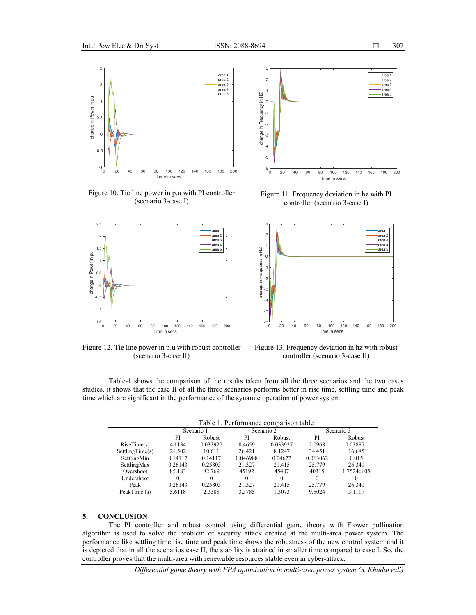

Figure 10. Tie line power in p.u with PI controller (scenario 3-case I)



Figure 12. Tie line power in p.u with robust controller (scenario 3-case II)



Figure 11. Frequency deviation in hz with PI controller (scenario 3-case I)



Figure 13. Frequency deviation in hz with robust controller (scenario 3-case II)

Table-1 shows the comparison of the results taken from all the three scenarios and the two cases studies. it shows that the case II of all the three scenarios performs better in rise time, settling time and peak time which are significant in the performance of the synamic operation of power system.

Table 1. Performance comparison table

|                 | Scenario 1 |          | Scenario 2 |          | Scenario 3 |              |
|-----------------|------------|----------|------------|----------|------------|--------------|
|                 | PI         | Robust   | PI         | Robust   | PI         | Robust       |
| RiseTime(s)     | 4.1134     | 0.033927 | 0.4659     | 0.033927 | 2.0968     | 0.038871     |
| SettlingTime(s) | 21.502     | 10.611   | 26.421     | 8.1247   | 34.451     | 16.685       |
| SettlingMin     | 0.14117    | 0.14117  | 0.046908   | 0.04677  | 0.063062   | 0.015        |
| SettlingMax     | 0.26143    | 0.25803  | 21.327     | 21.415   | 25.779     | 26.341       |
| Overshoot       | 85.183     | 82.769   | 45192      | 45407    | 40315      | $1.7524e+05$ |
| Undershoot      |            | 0        | $\theta$   | 0        | $^{(1)}$   | 0            |
| Peak            | 0.26143    | 0.25803  | 21.327     | 21.415   | 25.779     | 26.341       |
| PeakTime (s)    | 5.6118     | 2.3388   | 3.3785     | 1.3073   | 9.5024     | 3.1117       |

# **5. CONCLUSION**

The PI controller and robust control using differential game theory with Flower pollination algorithm is used to solve the problem of security attack created at the multi-area power system. The performance like settling time rise time and peak time shows the robustness of the new control system and it is depicted that in all the scenarios case II, the stability is attained in smaller time compared to case I. So, the controller proves that the multi-area with renewable resources stable even in cyber-attack.